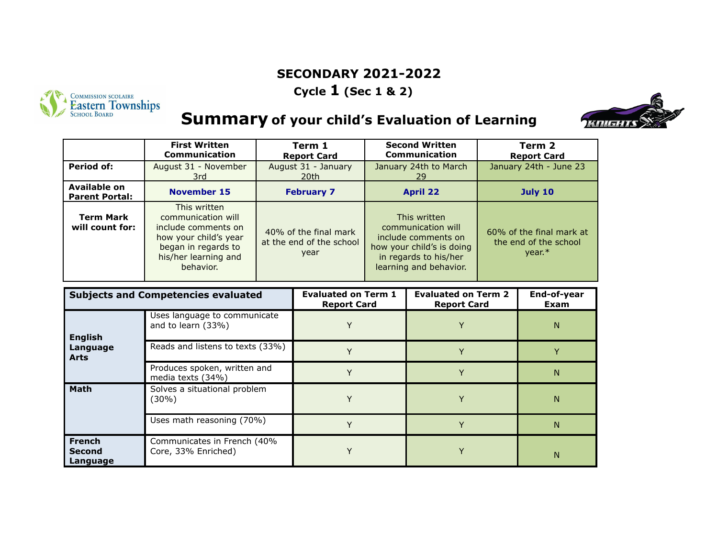### **SECONDARY 2021-2022**

**Cycle 1 (Sec 1 & 2)**



# **Summary of your child's Evaluation of Learning**



|                                       | <b>First Written</b><br><b>Communication</b>                                                                                                   | Term 1<br><b>Report Card</b>                              | <b>Second Written</b><br><b>Communication</b>                                                                                             | Term 2<br><b>Report Card</b>                                  |
|---------------------------------------|------------------------------------------------------------------------------------------------------------------------------------------------|-----------------------------------------------------------|-------------------------------------------------------------------------------------------------------------------------------------------|---------------------------------------------------------------|
| Period of:                            | August 31 - November<br>3rd                                                                                                                    | August 31 - January<br>20th                               | January 24th to March<br>29                                                                                                               | January 24th - June 23                                        |
| Available on<br><b>Parent Portal:</b> | <b>November 15</b>                                                                                                                             | <b>February 7</b>                                         | <b>April 22</b>                                                                                                                           | <b>July 10</b>                                                |
| <b>Term Mark</b><br>will count for:   | This written<br>communication will<br>include comments on<br>how your child's year<br>began in regards to<br>his/her learning and<br>behavior. | 40% of the final mark<br>at the end of the school<br>year | This written<br>communication will<br>include comments on<br>how your child's is doing<br>in regards to his/her<br>learning and behavior. | 60% of the final mark at<br>the end of the school<br>$vear.*$ |

| <b>Subjects and Competencies evaluated</b> |                                                    | <b>Evaluated on Term 1</b><br><b>Report Card</b> | <b>Evaluated on Term 2</b><br><b>Report Card</b> | End-of-year<br>Exam |
|--------------------------------------------|----------------------------------------------------|--------------------------------------------------|--------------------------------------------------|---------------------|
| <b>English</b>                             | Uses language to communicate<br>and to learn (33%) |                                                  |                                                  | N                   |
| Language<br><b>Arts</b>                    | Reads and listens to texts (33%)                   |                                                  |                                                  |                     |
|                                            | Produces spoken, written and<br>media texts (34%)  |                                                  |                                                  | N                   |
| <b>Math</b>                                | Solves a situational problem<br>(30%)              |                                                  |                                                  | N                   |
|                                            | Uses math reasoning (70%)                          |                                                  |                                                  | N                   |
| <b>French</b><br><b>Second</b><br>Language | Communicates in French (40%<br>Core, 33% Enriched) |                                                  |                                                  | N                   |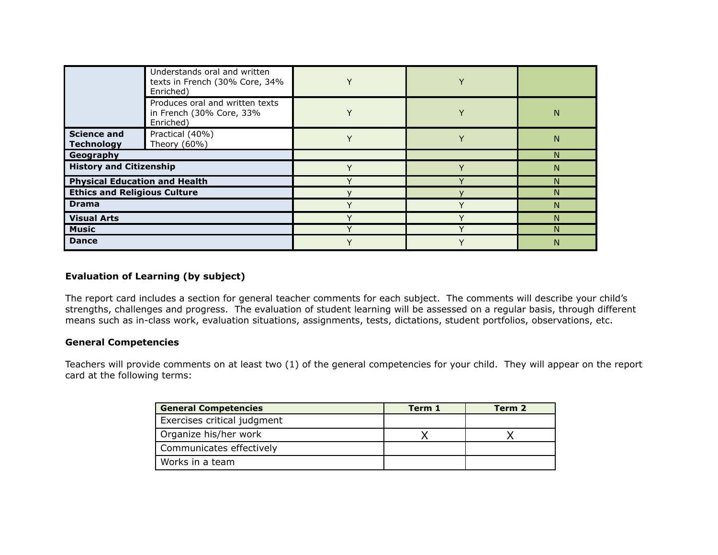|                                         | Understands oral and written<br>texts in French (30% Core, 34%<br>Enriched) |  |   |
|-----------------------------------------|-----------------------------------------------------------------------------|--|---|
|                                         | Produces oral and written texts<br>in French (30% Core, 33%<br>Enriched)    |  | N |
| <b>Science and</b><br><b>Technology</b> | Practical (40%)<br>Theory (60%)                                             |  | N |
| Geography                               |                                                                             |  |   |
| <b>History and Citizenship</b>          |                                                                             |  | N |
| <b>Physical Education and Health</b>    |                                                                             |  |   |
| <b>Ethics and Religious Culture</b>     |                                                                             |  |   |
| <b>Drama</b>                            |                                                                             |  | N |
| <b>Visual Arts</b>                      |                                                                             |  |   |
| <b>Music</b>                            |                                                                             |  |   |
| <b>Dance</b>                            |                                                                             |  | N |

#### **Evaluation of Learning (by subject)**

The report card includes a section for general teacher comments for each subject. The comments will describe your child's strengths, challenges and progress. The evaluation of student learning will be assessed on a regular basis, through different means such as in-class work, evaluation situations, assignments, tests, dictations, student portfolios, observations, etc.

### **General Competencies**

Teachers will provide comments on at least two (1) of the general competencies for your child. They will appear on the report card at the following terms:

| <b>General Competencies</b> | Term 1 | Term 2 |
|-----------------------------|--------|--------|
| Exercises critical judgment |        |        |
| Organize his/her work       |        |        |
| Communicates effectively    |        |        |
| Works in a team             |        |        |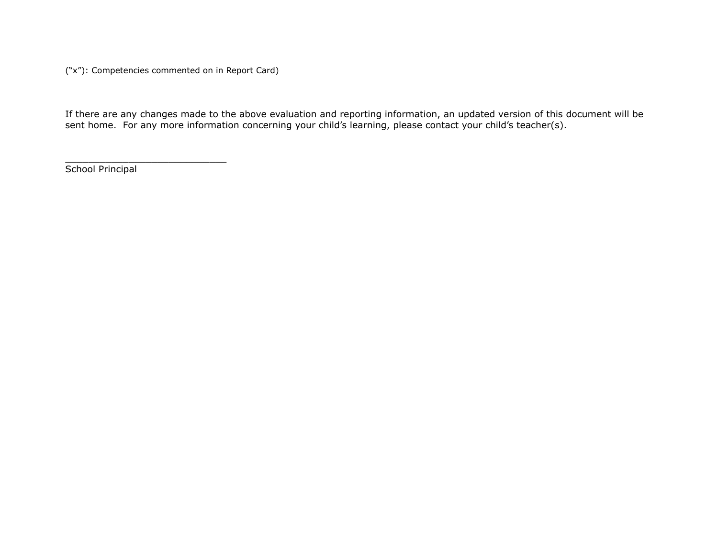("x"): Competencies commented on in Report Card)

\_\_\_\_\_\_\_\_\_\_\_\_\_\_\_\_\_\_\_\_\_\_\_\_\_\_\_\_

If there are any changes made to the above evaluation and reporting information, an updated version of this document will be sent home. For any more information concerning your child's learning, please contact your child's teacher(s).

School Principal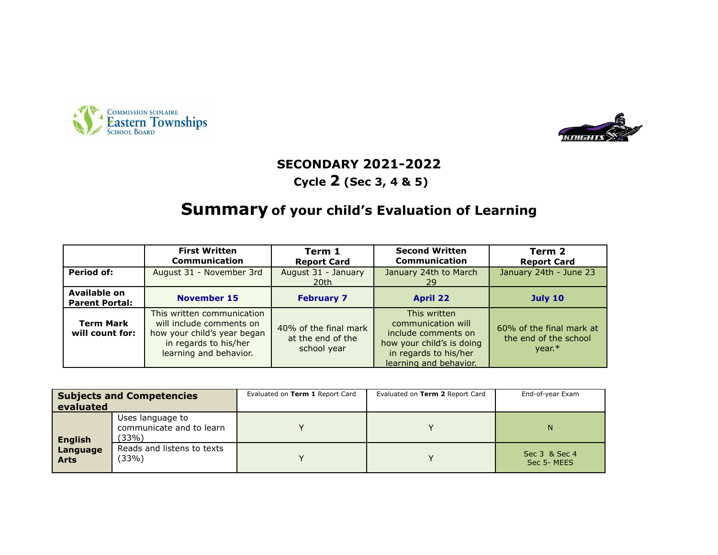



# **SECONDARY 2021-2022**

### **Cycle 2 (Sec 3, 4 & 5)**

### **Summary of your child's Evaluation of Learning**

|                                       | <b>First Written</b><br><b>Communication</b>                                                                                             | Term 1<br><b>Report Card</b>                              | <b>Second Written</b><br>Communication                                                                                                    | Term 2<br><b>Report Card</b>                                 |
|---------------------------------------|------------------------------------------------------------------------------------------------------------------------------------------|-----------------------------------------------------------|-------------------------------------------------------------------------------------------------------------------------------------------|--------------------------------------------------------------|
| Period of:                            | August 31 - November 3rd                                                                                                                 | August 31 - January<br>20th                               | January 24th to March<br>-29                                                                                                              | January 24th - June 23                                       |
| Available on<br><b>Parent Portal:</b> | <b>November 15</b>                                                                                                                       | <b>February 7</b>                                         | <b>April 22</b>                                                                                                                           | <b>July 10</b>                                               |
| <b>Term Mark</b><br>will count for:   | This written communication<br>will include comments on<br>how your child's year began<br>in regards to his/her<br>learning and behavior. | 40% of the final mark<br>at the end of the<br>school year | This written<br>communication will<br>include comments on<br>how your child's is doing<br>in regards to his/her<br>learning and behavior. | 60% of the final mark at<br>the end of the school<br>$year*$ |

| <b>Subjects and Competencies</b><br>evaluated |                                                       | Evaluated on Term 1 Report Card | Evaluated on Term 2 Report Card | End-of-year Exam            |
|-----------------------------------------------|-------------------------------------------------------|---------------------------------|---------------------------------|-----------------------------|
| <b>English</b>                                | Uses language to<br>communicate and to learn<br>(33%) |                                 |                                 | N                           |
| Language<br><b>Arts</b>                       | Reads and listens to texts<br>(33%)                   |                                 |                                 | Sec 3 & Sec 4<br>Sec 5-MEES |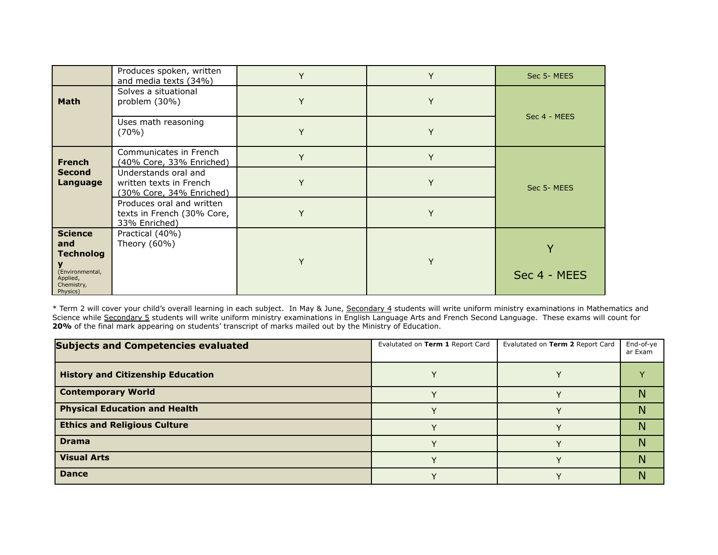|                                                              | Produces spoken, written<br>and media texts (34%)                           | Y | Y | Sec 5-MEES   |
|--------------------------------------------------------------|-----------------------------------------------------------------------------|---|---|--------------|
| <b>Math</b>                                                  | Solves a situational<br>problem (30%)                                       | Υ | Y | Sec 4 - MEES |
|                                                              | Uses math reasoning<br>$(70\%)$                                             | Y | Υ |              |
| <b>French</b>                                                | Communicates in French<br>(40% Core, 33% Enriched)                          | Y | Y |              |
| <b>Second</b><br>Language                                    | Understands oral and<br>written texts in French<br>(30% Core, 34% Enriched) |   | Y | Sec 5-MEES   |
|                                                              | Produces oral and written<br>texts in French (30% Core,<br>33% Enriched)    | Υ | Y |              |
| <b>Science</b><br>and<br><b>Technolog</b><br>(Environmental, | Practical (40%)<br>Theory (60%)                                             | Υ | Y | Sec 4 - MEES |
| Applied,<br>Chemistry,<br>Physics)                           |                                                                             |   |   |              |

\* Term 2 will cover your child's overall learning in each subject. In May & June, Secondary 4 students will write uniform ministry examinations in Mathematics and Science while Secondary 5 students will write uniform ministry examinations in English Language Arts and French Second Language. These exams will count for **20%** of the final mark appearing on students' transcript of marks mailed out by the Ministry of Education.

| <b>Subjects and Competencies evaluated</b> | Evalutated on Term 1 Report Card | Evalutated on Term 2 Report Card | End-of-ye<br>ar Exam |
|--------------------------------------------|----------------------------------|----------------------------------|----------------------|
| <b>History and Citizenship Education</b>   |                                  |                                  |                      |
| <b>Contemporary World</b>                  |                                  |                                  |                      |
| <b>Physical Education and Health</b>       |                                  |                                  |                      |
| <b>Ethics and Religious Culture</b>        |                                  |                                  | Ν                    |
| <b>Drama</b>                               |                                  |                                  |                      |
| <b>Visual Arts</b>                         |                                  |                                  |                      |
| <b>Dance</b>                               |                                  |                                  | N                    |